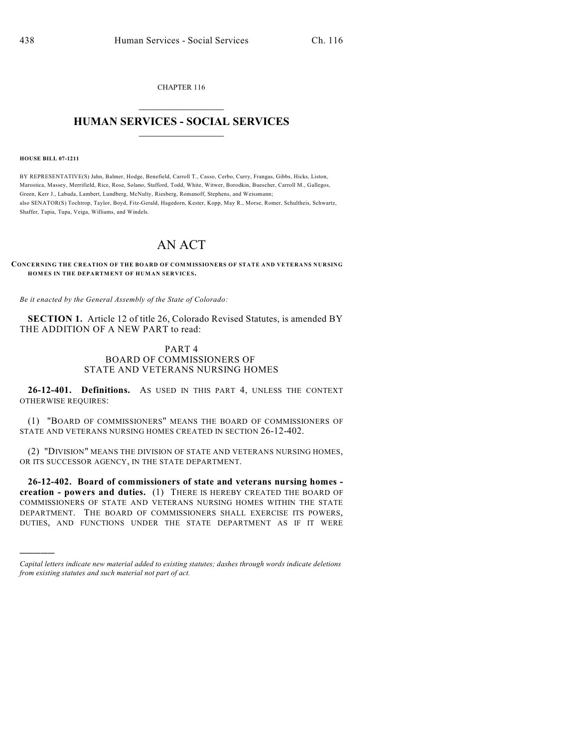CHAPTER 116  $\mathcal{L}_\text{max}$  . The set of the set of the set of the set of the set of the set of the set of the set of the set of the set of the set of the set of the set of the set of the set of the set of the set of the set of the set

## **HUMAN SERVICES - SOCIAL SERVICES**  $\frac{1}{2}$  ,  $\frac{1}{2}$  ,  $\frac{1}{2}$  ,  $\frac{1}{2}$  ,  $\frac{1}{2}$  ,  $\frac{1}{2}$  ,  $\frac{1}{2}$

**HOUSE BILL 07-1211**

)))))

BY REPRESENTATIVE(S) Jahn, Balmer, Hodge, Benefield, Carroll T., Casso, Cerbo, Curry, Frangas, Gibbs, Hicks, Liston, Marostica, Massey, Merrifield, Rice, Rose, Solano, Stafford, Todd, White, Witwer, Borodkin, Buescher, Carroll M., Gallegos, Green, Kerr J., Labuda, Lambert, Lundberg, McNulty, Riesberg, Romanoff, Stephens, and Weissmann; also SENATOR(S) Tochtrop, Taylor, Boyd, Fitz-Gerald, Hagedorn, Kester, Kopp, May R., Morse, Romer, Schultheis, Schwartz, Shaffer, Tapia, Tupa, Veiga, Williams, and Windels.

## AN ACT

**CONCERNING THE CREATION OF THE BOARD OF COMMISSIONERS OF STATE AND VETERANS NURSING HOM ES IN THE DEPARTMENT OF HUMAN SERVICES.**

*Be it enacted by the General Assembly of the State of Colorado:*

**SECTION 1.** Article 12 of title 26, Colorado Revised Statutes, is amended BY THE ADDITION OF A NEW PART to read:

## PART 4 BOARD OF COMMISSIONERS OF STATE AND VETERANS NURSING HOMES

**26-12-401. Definitions.** AS USED IN THIS PART 4, UNLESS THE CONTEXT OTHERWISE REQUIRES:

(1) "BOARD OF COMMISSIONERS" MEANS THE BOARD OF COMMISSIONERS OF STATE AND VETERANS NURSING HOMES CREATED IN SECTION 26-12-402.

(2) "DIVISION" MEANS THE DIVISION OF STATE AND VETERANS NURSING HOMES, OR ITS SUCCESSOR AGENCY, IN THE STATE DEPARTMENT.

**26-12-402. Board of commissioners of state and veterans nursing homes creation - powers and duties.** (1) THERE IS HEREBY CREATED THE BOARD OF COMMISSIONERS OF STATE AND VETERANS NURSING HOMES WITHIN THE STATE DEPARTMENT. THE BOARD OF COMMISSIONERS SHALL EXERCISE ITS POWERS, DUTIES, AND FUNCTIONS UNDER THE STATE DEPARTMENT AS IF IT WERE

*Capital letters indicate new material added to existing statutes; dashes through words indicate deletions from existing statutes and such material not part of act.*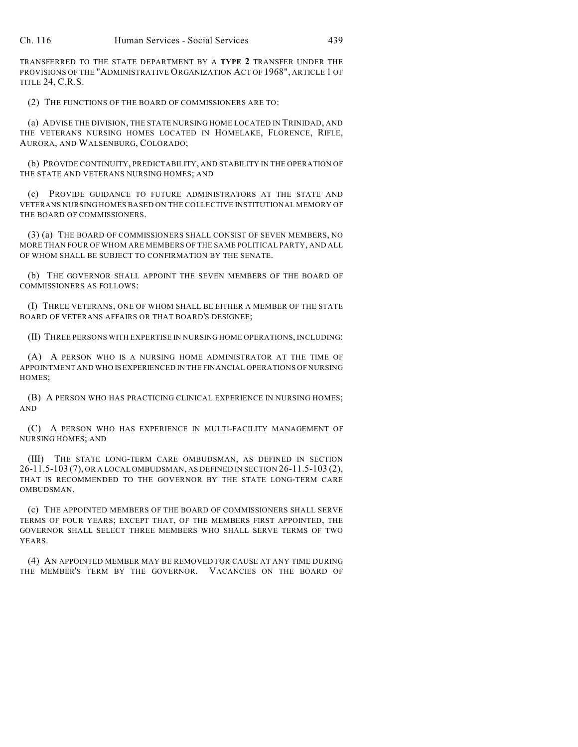TRANSFERRED TO THE STATE DEPARTMENT BY A **TYPE 2** TRANSFER UNDER THE PROVISIONS OF THE "ADMINISTRATIVE ORGANIZATION ACT OF 1968", ARTICLE 1 OF TITLE 24, C.R.S.

(2) THE FUNCTIONS OF THE BOARD OF COMMISSIONERS ARE TO:

(a) ADVISE THE DIVISION, THE STATE NURSING HOME LOCATED IN TRINIDAD, AND THE VETERANS NURSING HOMES LOCATED IN HOMELAKE, FLORENCE, RIFLE, AURORA, AND WALSENBURG, COLORADO;

(b) PROVIDE CONTINUITY, PREDICTABILITY, AND STABILITY IN THE OPERATION OF THE STATE AND VETERANS NURSING HOMES; AND

(c) PROVIDE GUIDANCE TO FUTURE ADMINISTRATORS AT THE STATE AND VETERANS NURSING HOMES BASED ON THE COLLECTIVE INSTITUTIONAL MEMORY OF THE BOARD OF COMMISSIONERS.

(3) (a) THE BOARD OF COMMISSIONERS SHALL CONSIST OF SEVEN MEMBERS, NO MORE THAN FOUR OF WHOM ARE MEMBERS OF THE SAME POLITICAL PARTY, AND ALL OF WHOM SHALL BE SUBJECT TO CONFIRMATION BY THE SENATE.

(b) THE GOVERNOR SHALL APPOINT THE SEVEN MEMBERS OF THE BOARD OF COMMISSIONERS AS FOLLOWS:

(I) THREE VETERANS, ONE OF WHOM SHALL BE EITHER A MEMBER OF THE STATE BOARD OF VETERANS AFFAIRS OR THAT BOARD'S DESIGNEE;

(II) THREE PERSONS WITH EXPERTISE IN NURSING HOME OPERATIONS, INCLUDING:

(A) A PERSON WHO IS A NURSING HOME ADMINISTRATOR AT THE TIME OF APPOINTMENT AND WHO IS EXPERIENCED IN THE FINANCIAL OPERATIONS OF NURSING HOMES;

(B) A PERSON WHO HAS PRACTICING CLINICAL EXPERIENCE IN NURSING HOMES; AND

(C) A PERSON WHO HAS EXPERIENCE IN MULTI-FACILITY MANAGEMENT OF NURSING HOMES; AND

(III) THE STATE LONG-TERM CARE OMBUDSMAN, AS DEFINED IN SECTION 26-11.5-103 (7), OR A LOCAL OMBUDSMAN, AS DEFINED IN SECTION 26-11.5-103 (2), THAT IS RECOMMENDED TO THE GOVERNOR BY THE STATE LONG-TERM CARE OMBUDSMAN.

(c) THE APPOINTED MEMBERS OF THE BOARD OF COMMISSIONERS SHALL SERVE TERMS OF FOUR YEARS; EXCEPT THAT, OF THE MEMBERS FIRST APPOINTED, THE GOVERNOR SHALL SELECT THREE MEMBERS WHO SHALL SERVE TERMS OF TWO YEARS.

(4) AN APPOINTED MEMBER MAY BE REMOVED FOR CAUSE AT ANY TIME DURING THE MEMBER'S TERM BY THE GOVERNOR. VACANCIES ON THE BOARD OF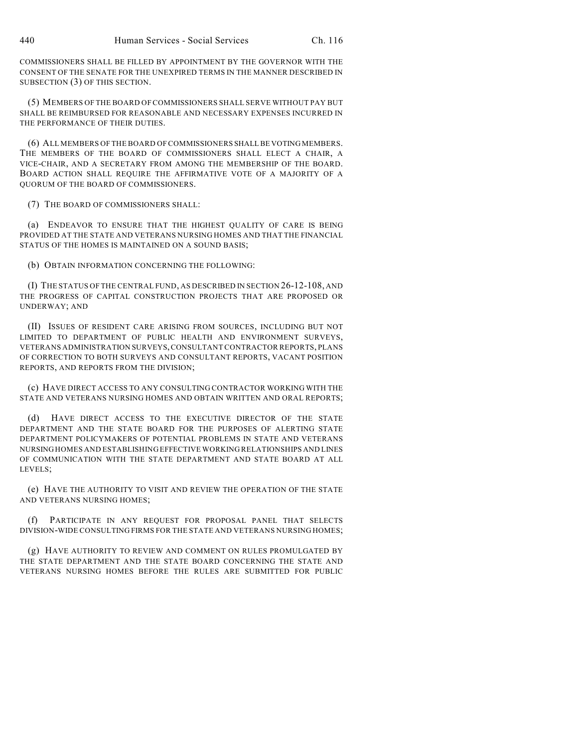COMMISSIONERS SHALL BE FILLED BY APPOINTMENT BY THE GOVERNOR WITH THE CONSENT OF THE SENATE FOR THE UNEXPIRED TERMS IN THE MANNER DESCRIBED IN SUBSECTION (3) OF THIS SECTION.

(5) MEMBERS OF THE BOARD OF COMMISSIONERS SHALL SERVE WITHOUT PAY BUT SHALL BE REIMBURSED FOR REASONABLE AND NECESSARY EXPENSES INCURRED IN THE PERFORMANCE OF THEIR DUTIES.

(6) ALL MEMBERS OF THE BOARD OF COMMISSIONERS SHALL BE VOTING MEMBERS. THE MEMBERS OF THE BOARD OF COMMISSIONERS SHALL ELECT A CHAIR, A VICE-CHAIR, AND A SECRETARY FROM AMONG THE MEMBERSHIP OF THE BOARD. BOARD ACTION SHALL REQUIRE THE AFFIRMATIVE VOTE OF A MAJORITY OF A QUORUM OF THE BOARD OF COMMISSIONERS.

(7) THE BOARD OF COMMISSIONERS SHALL:

(a) ENDEAVOR TO ENSURE THAT THE HIGHEST QUALITY OF CARE IS BEING PROVIDED AT THE STATE AND VETERANS NURSING HOMES AND THAT THE FINANCIAL STATUS OF THE HOMES IS MAINTAINED ON A SOUND BASIS;

(b) OBTAIN INFORMATION CONCERNING THE FOLLOWING:

(I) THE STATUS OFTHE CENTRAL FUND, AS DESCRIBED IN SECTION 26-12-108, AND THE PROGRESS OF CAPITAL CONSTRUCTION PROJECTS THAT ARE PROPOSED OR UNDERWAY; AND

(II) ISSUES OF RESIDENT CARE ARISING FROM SOURCES, INCLUDING BUT NOT LIMITED TO DEPARTMENT OF PUBLIC HEALTH AND ENVIRONMENT SURVEYS, VETERANS ADMINISTRATION SURVEYS, CONSULTANT CONTRACTOR REPORTS, PLANS OF CORRECTION TO BOTH SURVEYS AND CONSULTANT REPORTS, VACANT POSITION REPORTS, AND REPORTS FROM THE DIVISION;

(c) HAVE DIRECT ACCESS TO ANY CONSULTING CONTRACTOR WORKING WITH THE STATE AND VETERANS NURSING HOMES AND OBTAIN WRITTEN AND ORAL REPORTS;

(d) HAVE DIRECT ACCESS TO THE EXECUTIVE DIRECTOR OF THE STATE DEPARTMENT AND THE STATE BOARD FOR THE PURPOSES OF ALERTING STATE DEPARTMENT POLICYMAKERS OF POTENTIAL PROBLEMS IN STATE AND VETERANS NURSING HOMES AND ESTABLISHING EFFECTIVE WORKING RELATIONSHIPS AND LINES OF COMMUNICATION WITH THE STATE DEPARTMENT AND STATE BOARD AT ALL LEVELS;

(e) HAVE THE AUTHORITY TO VISIT AND REVIEW THE OPERATION OF THE STATE AND VETERANS NURSING HOMES;

(f) PARTICIPATE IN ANY REQUEST FOR PROPOSAL PANEL THAT SELECTS DIVISION-WIDE CONSULTING FIRMS FOR THE STATE AND VETERANS NURSING HOMES;

(g) HAVE AUTHORITY TO REVIEW AND COMMENT ON RULES PROMULGATED BY THE STATE DEPARTMENT AND THE STATE BOARD CONCERNING THE STATE AND VETERANS NURSING HOMES BEFORE THE RULES ARE SUBMITTED FOR PUBLIC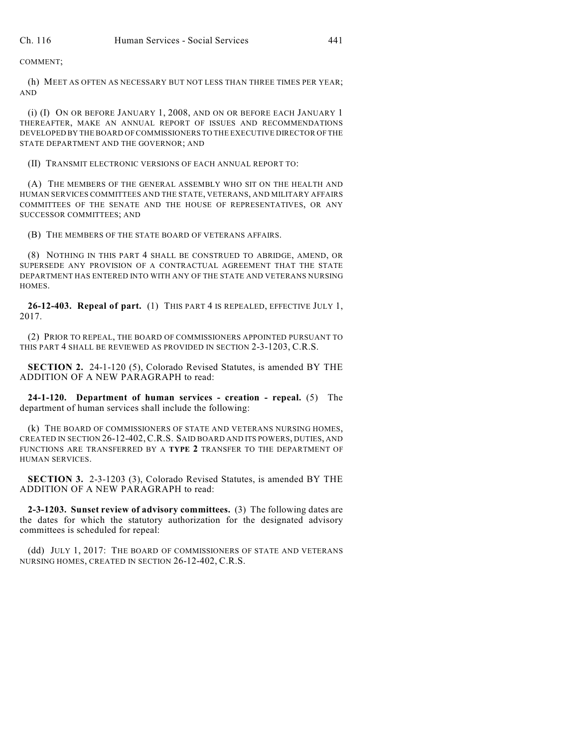COMMENT;

(h) MEET AS OFTEN AS NECESSARY BUT NOT LESS THAN THREE TIMES PER YEAR; AND

(i) (I) ON OR BEFORE JANUARY 1, 2008, AND ON OR BEFORE EACH JANUARY 1 THEREAFTER, MAKE AN ANNUAL REPORT OF ISSUES AND RECOMMENDATIONS DEVELOPED BY THE BOARD OF COMMISSIONERS TO THE EXECUTIVE DIRECTOR OF THE STATE DEPARTMENT AND THE GOVERNOR; AND

(II) TRANSMIT ELECTRONIC VERSIONS OF EACH ANNUAL REPORT TO:

(A) THE MEMBERS OF THE GENERAL ASSEMBLY WHO SIT ON THE HEALTH AND HUMAN SERVICES COMMITTEES AND THE STATE, VETERANS, AND MILITARY AFFAIRS COMMITTEES OF THE SENATE AND THE HOUSE OF REPRESENTATIVES, OR ANY SUCCESSOR COMMITTEES; AND

(B) THE MEMBERS OF THE STATE BOARD OF VETERANS AFFAIRS.

(8) NOTHING IN THIS PART 4 SHALL BE CONSTRUED TO ABRIDGE, AMEND, OR SUPERSEDE ANY PROVISION OF A CONTRACTUAL AGREEMENT THAT THE STATE DEPARTMENT HAS ENTERED INTO WITH ANY OF THE STATE AND VETERANS NURSING HOMES.

**26-12-403. Repeal of part.** (1) THIS PART 4 IS REPEALED, EFFECTIVE JULY 1, 2017.

(2) PRIOR TO REPEAL, THE BOARD OF COMMISSIONERS APPOINTED PURSUANT TO THIS PART 4 SHALL BE REVIEWED AS PROVIDED IN SECTION 2-3-1203, C.R.S.

**SECTION 2.** 24-1-120 (5), Colorado Revised Statutes, is amended BY THE ADDITION OF A NEW PARAGRAPH to read:

**24-1-120. Department of human services - creation - repeal.** (5) The department of human services shall include the following:

(k) THE BOARD OF COMMISSIONERS OF STATE AND VETERANS NURSING HOMES, CREATED IN SECTION 26-12-402,C.R.S. SAID BOARD AND ITS POWERS, DUTIES, AND FUNCTIONS ARE TRANSFERRED BY A **TYPE 2** TRANSFER TO THE DEPARTMENT OF HUMAN SERVICES.

**SECTION 3.** 2-3-1203 (3), Colorado Revised Statutes, is amended BY THE ADDITION OF A NEW PARAGRAPH to read:

**2-3-1203. Sunset review of advisory committees.** (3) The following dates are the dates for which the statutory authorization for the designated advisory committees is scheduled for repeal:

(dd) JULY 1, 2017: THE BOARD OF COMMISSIONERS OF STATE AND VETERANS NURSING HOMES, CREATED IN SECTION 26-12-402, C.R.S.